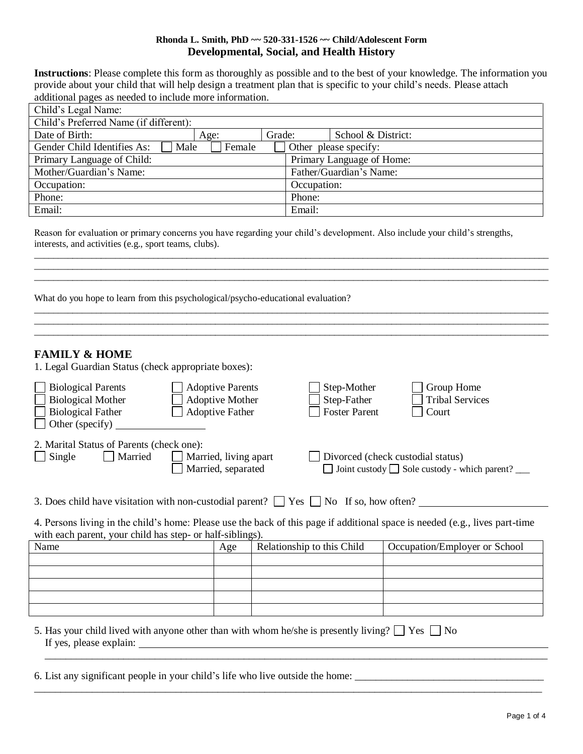### **Rhonda L. Smith, PhD ~~ 520-331-1526 ~~ Child/Adolescent Form Developmental, Social, and Health History**

**Instructions**: Please complete this form as thoroughly as possible and to the best of your knowledge. The information you provide about your child that will help design a treatment plan that is specific to your child's needs. Please attach additional pages as needed to include more information.

| Child's Legal Name:                    |                |        |                           |                       |  |  |
|----------------------------------------|----------------|--------|---------------------------|-----------------------|--|--|
| Child's Preferred Name (if different): |                |        |                           |                       |  |  |
| Date of Birth:                         | Age:           | Grade: |                           | School & District:    |  |  |
| Gender Child Identifies As:            | Male<br>Female |        |                           | Other please specify: |  |  |
| Primary Language of Child:             |                |        | Primary Language of Home: |                       |  |  |
| Mother/Guardian's Name:                |                |        | Father/Guardian's Name:   |                       |  |  |
| Occupation:                            |                |        | Occupation:               |                       |  |  |
| Phone:                                 |                |        | Phone:                    |                       |  |  |
| Email:                                 |                |        | Email:                    |                       |  |  |

Reason for evaluation or primary concerns you have regarding your child's development. Also include your child's strengths, interests, and activities (e.g., sport teams, clubs).

\_\_\_\_\_\_\_\_\_\_\_\_\_\_\_\_\_\_\_\_\_\_\_\_\_\_\_\_\_\_\_\_\_\_\_\_\_\_\_\_\_\_\_\_\_\_\_\_\_\_\_\_\_\_\_\_\_\_\_\_\_\_\_\_\_\_\_\_\_\_\_\_\_\_\_\_\_\_\_\_\_\_\_\_\_\_\_\_\_\_\_\_\_\_\_\_\_\_\_\_\_\_\_\_\_\_\_\_ \_\_\_\_\_\_\_\_\_\_\_\_\_\_\_\_\_\_\_\_\_\_\_\_\_\_\_\_\_\_\_\_\_\_\_\_\_\_\_\_\_\_\_\_\_\_\_\_\_\_\_\_\_\_\_\_\_\_\_\_\_\_\_\_\_\_\_\_\_\_\_\_\_\_\_\_\_\_\_\_\_\_\_\_\_\_\_\_\_\_\_\_\_\_\_\_\_\_\_\_\_\_\_\_\_\_\_\_ \_\_\_\_\_\_\_\_\_\_\_\_\_\_\_\_\_\_\_\_\_\_\_\_\_\_\_\_\_\_\_\_\_\_\_\_\_\_\_\_\_\_\_\_\_\_\_\_\_\_\_\_\_\_\_\_\_\_\_\_\_\_\_\_\_\_\_\_\_\_\_\_\_\_\_\_\_\_\_\_\_\_\_\_\_\_\_\_\_\_\_\_\_\_\_\_\_\_\_\_\_\_\_\_\_\_\_\_

\_\_\_\_\_\_\_\_\_\_\_\_\_\_\_\_\_\_\_\_\_\_\_\_\_\_\_\_\_\_\_\_\_\_\_\_\_\_\_\_\_\_\_\_\_\_\_\_\_\_\_\_\_\_\_\_\_\_\_\_\_\_\_\_\_\_\_\_\_\_\_\_\_\_\_\_\_\_\_\_\_\_\_\_\_\_\_\_\_\_\_\_\_\_\_\_\_\_\_\_\_\_\_\_\_\_\_\_ \_\_\_\_\_\_\_\_\_\_\_\_\_\_\_\_\_\_\_\_\_\_\_\_\_\_\_\_\_\_\_\_\_\_\_\_\_\_\_\_\_\_\_\_\_\_\_\_\_\_\_\_\_\_\_\_\_\_\_\_\_\_\_\_\_\_\_\_\_\_\_\_\_\_\_\_\_\_\_\_\_\_\_\_\_\_\_\_\_\_\_\_\_\_\_\_\_\_\_\_\_\_\_\_\_\_\_\_

\_\_\_\_\_\_\_\_\_\_\_\_\_\_\_\_\_\_\_\_\_\_\_\_\_\_\_\_\_\_\_\_\_\_\_\_\_\_\_\_\_\_\_\_\_\_\_\_\_\_\_\_\_\_\_\_\_\_\_\_\_\_\_\_\_\_\_\_\_\_\_\_\_\_\_\_\_\_\_\_\_\_\_\_\_\_\_\_\_\_\_\_\_\_\_\_\_\_\_\_\_\_\_\_\_\_\_\_

What do you hope to learn from this psychological/psycho-educational evaluation?

## **FAMILY & HOME**

1. Legal Guardian Status (check appropriate boxes):

| <b>Biological Parents</b><br><b>Biological Mother</b><br><b>Biological Father</b><br>$\Box$ Other (specify) | <b>Adoptive Parents</b><br>Adoptive Mother<br><b>Adoptive Father</b> | Step-Mother<br>Step-Father<br><b>Foster Parent</b> | Group Home<br><b>Tribal Services</b><br>Court            |
|-------------------------------------------------------------------------------------------------------------|----------------------------------------------------------------------|----------------------------------------------------|----------------------------------------------------------|
| 2. Marital Status of Parents (check one):<br>Married<br>$\Box$ Single                                       | Married, living apart<br>Married, separated                          | Divorced (check custodial status)                  | $\Box$ Joint custody $\Box$ Sole custody - which parent? |

3. Does child have visitation with non-custodial parent?  $\Box$  Yes  $\Box$  No If so, how often?

4. Persons living in the child's home: Please use the back of this page if additional space is needed (e.g., lives part-time with each parent, your child has step- or half-siblings).

| Name | Age | Relationship to this Child | Occupation/Employer or School |
|------|-----|----------------------------|-------------------------------|
|      |     |                            |                               |
|      |     |                            |                               |
|      |     |                            |                               |
|      |     |                            |                               |
|      |     |                            |                               |

 $\overline{\phantom{a}}$  , and the contribution of the contribution of the contribution of the contribution of the contribution of the contribution of the contribution of the contribution of the contribution of the contribution of the

5. Has your child lived with anyone other than with whom he/she is presently living?  $\Box$  Yes  $\Box$  No If yes, please explain:

6. List any significant people in your child's life who live outside the home: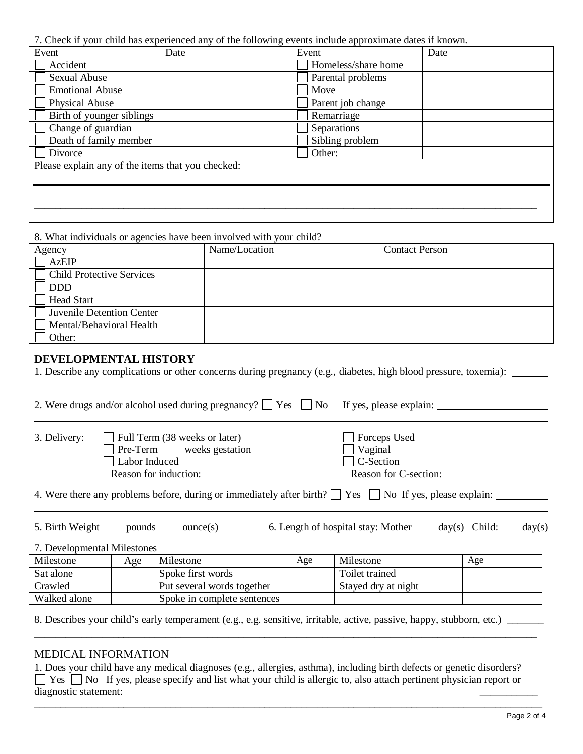7. Check if your child has experienced any of the following events include approximate dates if known.

| Event                                             | Date | Event               | Date |
|---------------------------------------------------|------|---------------------|------|
| Accident                                          |      | Homeless/share home |      |
| Sexual Abuse                                      |      | Parental problems   |      |
| <b>Emotional Abuse</b>                            |      | Move                |      |
| Physical Abuse                                    |      | Parent job change   |      |
| Birth of younger siblings                         |      | Remarriage          |      |
| Change of guardian                                |      | Separations         |      |
| Death of family member                            |      | Sibling problem     |      |
| Divorce                                           |      | Other:              |      |
| Please explain any of the items that you checked: |      |                     |      |
|                                                   |      |                     |      |
|                                                   |      |                     |      |
|                                                   |      |                     |      |
|                                                   |      |                     |      |

8. What individuals or agencies have been involved with your child?

| Agency                           | Name/Location | <b>Contact Person</b> |
|----------------------------------|---------------|-----------------------|
| <b>AzEIP</b>                     |               |                       |
| <b>Child Protective Services</b> |               |                       |
| <b>DDD</b>                       |               |                       |
| <b>Head Start</b>                |               |                       |
| Juvenile Detention Center        |               |                       |
| Mental/Behavioral Health         |               |                       |
| Other:                           |               |                       |

### **DEVELOPMENTAL HISTORY**

1. Describe any complications or other concerns during pregnancy (e.g., diabetes, high blood pressure, toxemia):

|              | 2. Were drugs and/or alcohol used during pregnancy? $\Box$ Yes $\Box$ No If yes, please explain: |                       |  |
|--------------|--------------------------------------------------------------------------------------------------|-----------------------|--|
|              |                                                                                                  |                       |  |
| 3. Delivery: | Full Term (38 weeks or later)                                                                    | $\Box$ Forceps Used   |  |
|              | Pre-Term _____ weeks gestation                                                                   | $\Box$ Vaginal        |  |
|              | Labor Induced                                                                                    | $\Box$ C-Section      |  |
|              | Reason for induction:                                                                            | Reason for C-section: |  |

4. Were there any problems before, during or immediately after birth?  $\Box$  Yes  $\Box$  No If yes, please explain:

5. Birth Weight pounds ounce(s) 6. Length of hospital stay: Mother day(s) Child: day(s)

7. Developmental Milestones

| Milestone    | Age | Milestone                   | Age | Milestone           | Age |
|--------------|-----|-----------------------------|-----|---------------------|-----|
| Sat alone    |     | Spoke first words           |     | Toilet trained      |     |
| Crawled      |     | Put several words together  |     | Stayed dry at night |     |
| Walked alone |     | Spoke in complete sentences |     |                     |     |

\_\_\_\_\_\_\_\_\_\_\_\_\_\_\_\_\_\_\_\_\_\_\_\_\_\_\_\_\_\_\_\_\_\_\_\_\_\_\_\_\_\_\_\_\_\_\_\_\_\_\_\_\_\_\_\_\_\_\_\_\_\_\_\_\_\_\_\_\_\_\_\_\_\_\_\_\_\_\_\_\_\_\_\_\_\_\_\_\_\_\_\_\_\_\_\_

8. Describes your child's early temperament (e.g., e.g. sensitive, irritable, active, passive, happy, stubborn, etc.) \_\_\_\_\_\_\_

### MEDICAL INFORMATION

1. Does your child have any medical diagnoses (e.g., allergies, asthma), including birth defects or genetic disorders?  $\Box$  Yes  $\Box$  No If yes, please specify and list what your child is allergic to, also attach pertinent physician report or diagnostic statement: \_\_\_\_\_\_\_\_\_\_\_

\_\_\_\_\_\_\_\_\_\_\_\_\_\_\_\_\_\_\_\_\_\_\_\_\_\_\_\_\_\_\_\_\_\_\_\_\_\_\_\_\_\_\_\_\_\_\_\_\_\_\_\_\_\_\_\_\_\_\_\_\_\_\_\_\_\_\_\_\_\_\_\_\_\_\_\_\_\_\_\_\_\_\_\_\_\_\_\_\_\_\_\_\_\_\_\_\_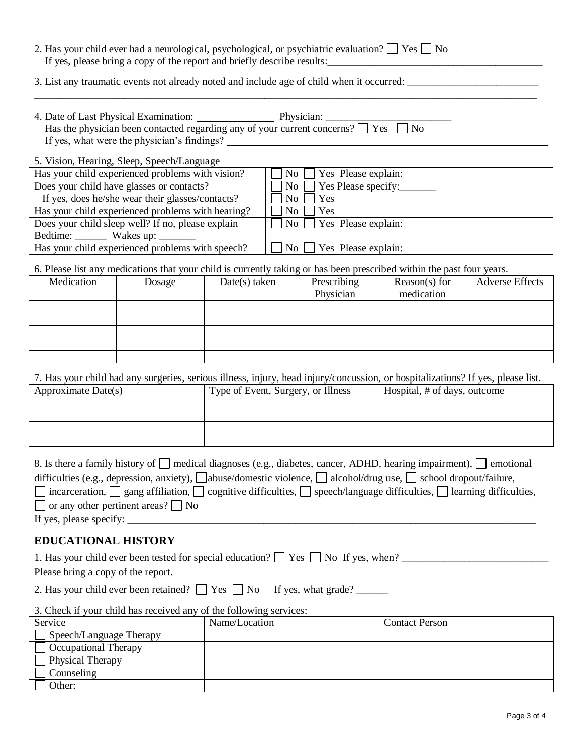|                                                                                                                       | 2. Has your child ever had a neurological, psychological, or psychiatric evaluation? $\Box$ Yes $\Box$ No<br>If yes, please bring a copy of the report and briefly describe results:                     |  |     |                    |                     |  |  |
|-----------------------------------------------------------------------------------------------------------------------|----------------------------------------------------------------------------------------------------------------------------------------------------------------------------------------------------------|--|-----|--------------------|---------------------|--|--|
|                                                                                                                       | 3. List any traumatic events not already noted and include age of child when it occurred:                                                                                                                |  |     |                    |                     |  |  |
|                                                                                                                       | 4. Date of Last Physical Examination: Physician: Physician: Has the physician been contacted regarding any of your current concerns? $\Box$ Yes $\Box$ No<br>If yes, what were the physician's findings? |  |     |                    |                     |  |  |
|                                                                                                                       | 5. Vision, Hearing, Sleep, Speech/Language                                                                                                                                                               |  |     |                    |                     |  |  |
| Has your child experienced problems with vision?<br>$No$    <br>Yes Please explain:                                   |                                                                                                                                                                                                          |  |     |                    |                     |  |  |
| Does your child have glasses or contacts?                                                                             |                                                                                                                                                                                                          |  |     | No                 | Yes Please specify: |  |  |
| If yes, does he/she wear their glasses/contacts?                                                                      |                                                                                                                                                                                                          |  | No  |                    | <b>Yes</b>          |  |  |
| Has your child experienced problems with hearing?                                                                     |                                                                                                                                                                                                          |  | No. |                    | <b>Yes</b>          |  |  |
| Does your child sleep well? If no, please explain                                                                     |                                                                                                                                                                                                          |  |     | $\overline{N_{O}}$ | Yes Please explain: |  |  |
|                                                                                                                       |                                                                                                                                                                                                          |  |     |                    |                     |  |  |
| Has your child experienced problems with speech?<br>No<br>Yes Please explain:                                         |                                                                                                                                                                                                          |  |     |                    |                     |  |  |
| 6. Please list any medications that your child is currently taking or has been prescribed within the past four years. |                                                                                                                                                                                                          |  |     |                    |                     |  |  |
|                                                                                                                       | $Dosea \rightarrow$ $Date(e) taken$<br>$Precechino$<br>$\mathbf{P}_{\mathbf{P}}$<br>Adverse Effects<br>Medication I                                                                                      |  |     |                    |                     |  |  |

| Medication | Dosage | $Date(s)$ taken | Prescribing<br>Physician | Reason(s) for<br>medication | <b>Adverse Effects</b> |
|------------|--------|-----------------|--------------------------|-----------------------------|------------------------|
|            |        |                 |                          |                             |                        |
|            |        |                 |                          |                             |                        |
|            |        |                 |                          |                             |                        |
|            |        |                 |                          |                             |                        |
|            |        |                 |                          |                             |                        |

| 7. Has your child had any surgeries, serious illness, injury, head injury/concussion, or hospitalizations? If yes, please list. |
|---------------------------------------------------------------------------------------------------------------------------------|
|---------------------------------------------------------------------------------------------------------------------------------|

| Approximate Date(s) | Type of Event, Surgery, or Illness | Hospital, # of days, outcome |
|---------------------|------------------------------------|------------------------------|
|                     |                                    |                              |
|                     |                                    |                              |
|                     |                                    |                              |
|                     |                                    |                              |

| 8. Is there a family history of $\Box$ medical diagnoses (e.g., diabetes, cancer, ADHD, hearing impairment), $\Box$ emotional                    |
|--------------------------------------------------------------------------------------------------------------------------------------------------|
| difficulties (e.g., depression, anxiety), $\Box$ abuse/domestic violence, $\Box$ alcohol/drug use, $\Box$ school dropout/failure,                |
| $\Box$ incarceration, $\Box$ gang affiliation, $\Box$ cognitive difficulties, $\Box$ speech/language difficulties, $\Box$ learning difficulties, |
| $\Box$ or any other pertinent areas? $\Box$ No                                                                                                   |
|                                                                                                                                                  |

If yes, please specify: \_\_\_\_\_\_\_\_\_\_\_\_\_\_\_\_\_\_\_\_\_\_\_\_\_\_\_\_\_\_\_\_\_\_\_\_\_\_\_\_\_\_\_\_\_\_\_\_\_\_\_\_\_\_\_\_\_\_\_\_\_\_\_\_\_\_\_\_\_\_\_\_\_\_\_\_\_\_

# **EDUCATIONAL HISTORY**

| 1. Has your child ever been tested for special education? $\Box$ Yes $\Box$ No If yes, when? |  |
|----------------------------------------------------------------------------------------------|--|
| Please bring a copy of the report.                                                           |  |

2. Has your child ever been retained?  $\Box$  Yes  $\Box$  No If yes, what grade?  $\Box$ 

| 3. Check if your child has received any of the following services: |               |                |  |  |
|--------------------------------------------------------------------|---------------|----------------|--|--|
| Service                                                            | Name/Location | Contact Person |  |  |
| Speech/Language Therapy                                            |               |                |  |  |
| <b>Occupational Therapy</b>                                        |               |                |  |  |
| Physical Therapy                                                   |               |                |  |  |
| Counseling                                                         |               |                |  |  |
| Other:                                                             |               |                |  |  |